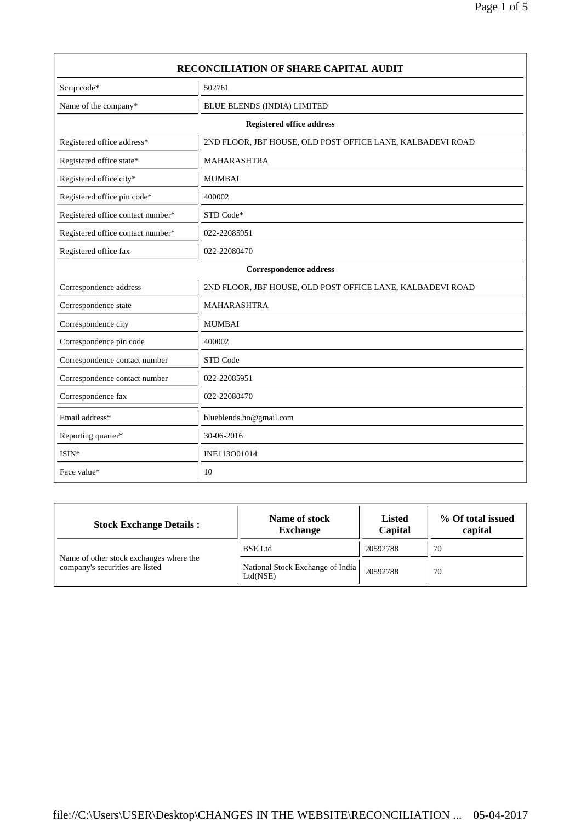| <b>RECONCILIATION OF SHARE CAPITAL AUDIT</b> |                                                            |  |  |
|----------------------------------------------|------------------------------------------------------------|--|--|
| Scrip code*                                  | 502761                                                     |  |  |
| Name of the company*                         | BLUE BLENDS (INDIA) LIMITED                                |  |  |
|                                              | <b>Registered office address</b>                           |  |  |
| Registered office address*                   | 2ND FLOOR, JBF HOUSE, OLD POST OFFICE LANE, KALBADEVI ROAD |  |  |
| Registered office state*                     | <b>MAHARASHTRA</b>                                         |  |  |
| Registered office city*                      | <b>MUMBAI</b>                                              |  |  |
| Registered office pin code*                  | 400002                                                     |  |  |
| Registered office contact number*            | STD Code*                                                  |  |  |
| Registered office contact number*            | 022-22085951                                               |  |  |
| Registered office fax                        | 022-22080470                                               |  |  |
|                                              | <b>Correspondence address</b>                              |  |  |
| Correspondence address                       | 2ND FLOOR, JBF HOUSE, OLD POST OFFICE LANE, KALBADEVI ROAD |  |  |
| Correspondence state                         | <b>MAHARASHTRA</b>                                         |  |  |
| Correspondence city                          | <b>MUMBAI</b>                                              |  |  |
| Correspondence pin code                      | 400002                                                     |  |  |
| Correspondence contact number                | STD Code                                                   |  |  |
| Correspondence contact number                | 022-22085951                                               |  |  |
| Correspondence fax                           | 022-22080470                                               |  |  |
| Email address*                               | blueblends.ho@gmail.com                                    |  |  |
| Reporting quarter*                           | 30-06-2016                                                 |  |  |
| $ISIN*$                                      | INE113O01014                                               |  |  |
| Face value*                                  | 10                                                         |  |  |

| <b>Stock Exchange Details:</b>                                             | Name of stock<br><b>Exchange</b>             | <b>Listed</b><br>Capital | % Of total issued<br>capital |
|----------------------------------------------------------------------------|----------------------------------------------|--------------------------|------------------------------|
|                                                                            | <b>BSE</b> Ltd                               | 20592788                 | 70                           |
| Name of other stock exchanges where the<br>company's securities are listed | National Stock Exchange of India<br>Ltd(NSE) | 20592788                 | 70                           |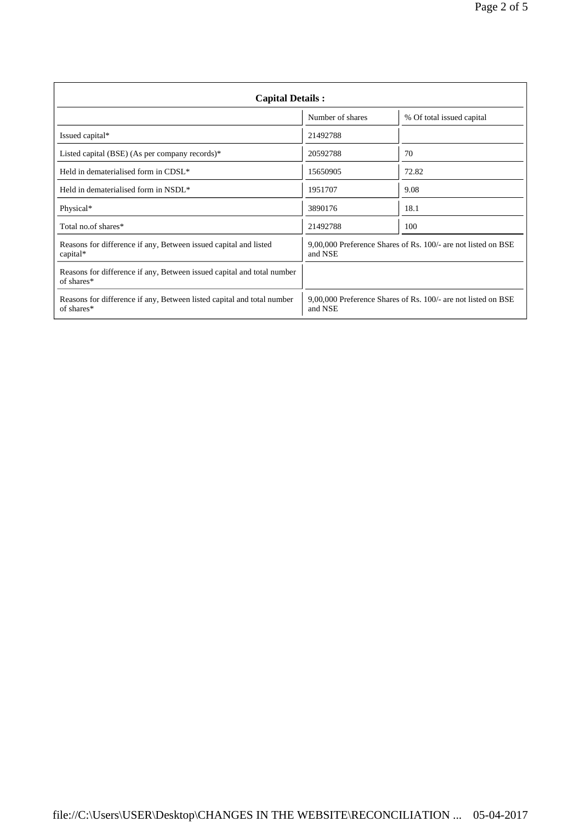| <b>Capital Details:</b>                                                              |                  |                                                               |  |  |
|--------------------------------------------------------------------------------------|------------------|---------------------------------------------------------------|--|--|
|                                                                                      | Number of shares | % Of total issued capital                                     |  |  |
| Issued capital*                                                                      | 21492788         |                                                               |  |  |
| Listed capital (BSE) (As per company records)*                                       | 20592788         | 70                                                            |  |  |
| Held in dematerialised form in CDSL*                                                 | 15650905         | 72.82                                                         |  |  |
| Held in dematerialised form in NSDL*                                                 | 1951707          | 9.08                                                          |  |  |
| Physical*                                                                            | 3890176          | 18.1                                                          |  |  |
| Total no.of shares*                                                                  | 21492788         | 100                                                           |  |  |
| Reasons for difference if any, Between issued capital and listed<br>capital*         | and NSE          | 9,00,000 Preference Shares of Rs. 100/- are not listed on BSE |  |  |
| Reasons for difference if any, Between issued capital and total number<br>of shares* |                  |                                                               |  |  |
| Reasons for difference if any, Between listed capital and total number<br>of shares* | and NSE          | 9,00,000 Preference Shares of Rs. 100/- are not listed on BSE |  |  |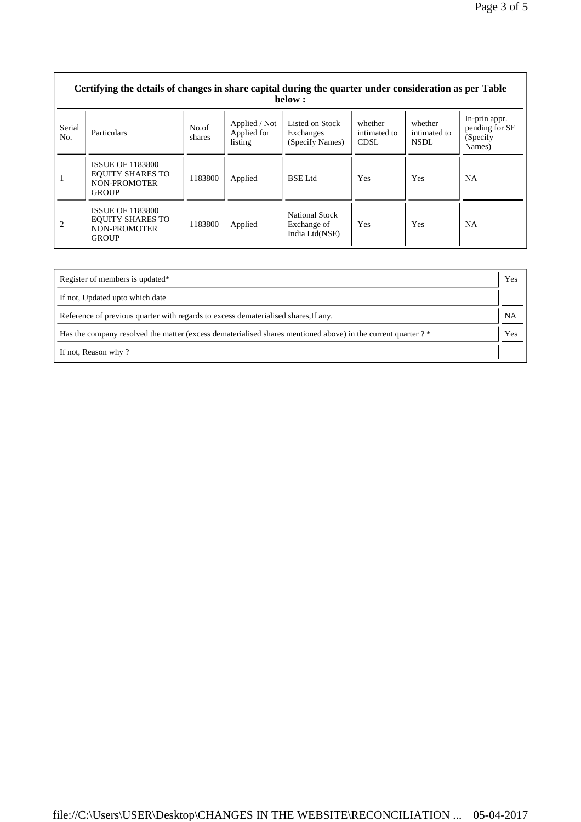|                | Certifying the details of changes in share capital during the quarter under consideration as per Table<br>below: |                 |                                         |                                                 |                                 |                                  |                                                        |
|----------------|------------------------------------------------------------------------------------------------------------------|-----------------|-----------------------------------------|-------------------------------------------------|---------------------------------|----------------------------------|--------------------------------------------------------|
| Serial<br>No.  | Particulars                                                                                                      | No.of<br>shares | Applied / Not<br>Applied for<br>listing | Listed on Stock<br>Exchanges<br>(Specify Names) | whether<br>intimated to<br>CDSL | whether<br>intimated to<br>NSDL. | In-prin appr.<br>pending for SE<br>(Specify)<br>Names) |
|                | <b>ISSUE OF 1183800</b><br><b>EQUITY SHARES TO</b><br>NON-PROMOTER<br><b>GROUP</b>                               | 1183800         | Applied                                 | <b>BSE</b> Ltd                                  | <b>Yes</b>                      | Yes                              | <b>NA</b>                                              |
| $\overline{2}$ | <b>ISSUE OF 1183800</b><br><b>EQUITY SHARES TO</b><br>NON-PROMOTER<br><b>GROUP</b>                               | 1183800         | Applied                                 | National Stock<br>Exchange of<br>India Ltd(NSE) | Yes                             | Yes                              | <b>NA</b>                                              |

 $\Gamma$ 

| Register of members is updated*                                                                               | Yes |
|---------------------------------------------------------------------------------------------------------------|-----|
| If not, Updated upto which date                                                                               |     |
| Reference of previous quarter with regards to excess dematerialised shares, If any.                           | NA  |
| Has the company resolved the matter (excess dematerialised shares mentioned above) in the current quarter ? * | Yes |
| If not, Reason why?                                                                                           |     |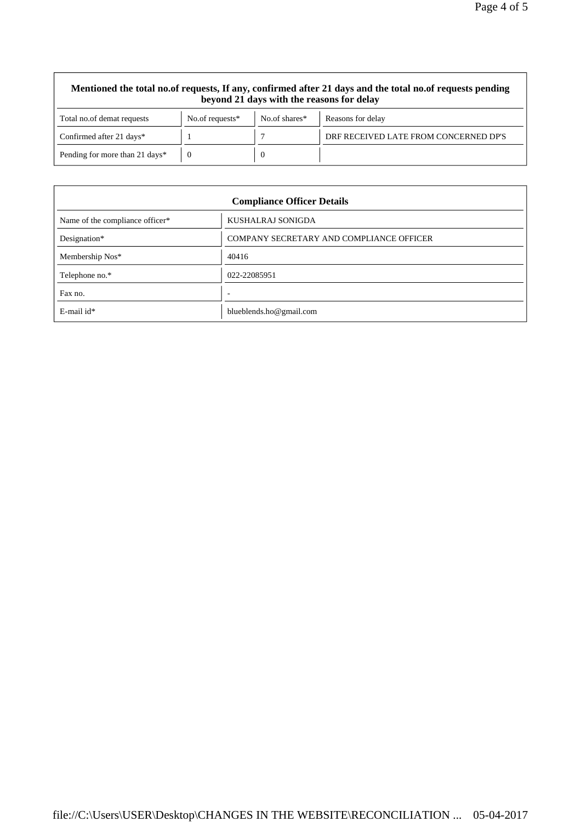| Mentioned the total no.of requests, If any, confirmed after 21 days and the total no.of requests pending<br>beyond 21 days with the reasons for delay |                    |               |                                       |  |  |  |
|-------------------------------------------------------------------------------------------------------------------------------------------------------|--------------------|---------------|---------------------------------------|--|--|--|
| Total no.of demat requests                                                                                                                            | No.of requests $*$ | No.of shares* | Reasons for delay                     |  |  |  |
| Confirmed after 21 days*                                                                                                                              |                    |               | DRF RECEIVED LATE FROM CONCERNED DP'S |  |  |  |
| Pending for more than 21 days*                                                                                                                        |                    | $\theta$      |                                       |  |  |  |

| <b>Compliance Officer Details</b> |                                          |  |  |
|-----------------------------------|------------------------------------------|--|--|
| Name of the compliance officer*   | KUSHALRAJ SONIGDA                        |  |  |
| Designation*                      | COMPANY SECRETARY AND COMPLIANCE OFFICER |  |  |
| Membership Nos*                   | 40416                                    |  |  |
| Telephone no.*                    | 022-22085951                             |  |  |
| Fax no.                           | $\overline{\phantom{a}}$                 |  |  |
| $E$ -mail id*                     | blueblends.ho@gmail.com                  |  |  |